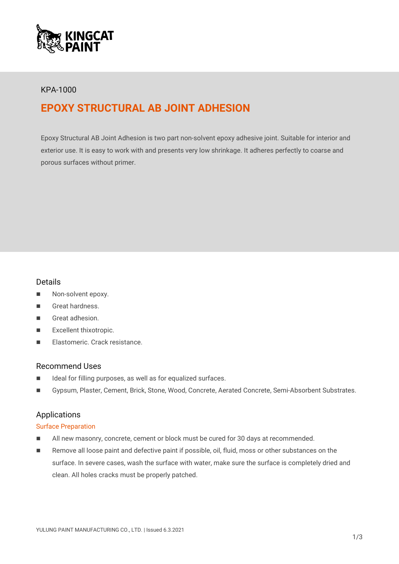

## KPA-1000

# **EPOXY STRUCTURAL AB JOINT ADHESION**

Epoxy Structural AB Joint Adhesion is two part non-solvent epoxy adhesive joint. Suitable for interior and exterior use. It is easy to work with and presents very low shrinkage. It adheres perfectly to coarse and porous surfaces without primer.

#### Details

- Non-solvent epoxy.
- Great hardness.
- Great adhesion.
- Excellent thixotropic.
- **Elastomeric. Crack resistance**

#### Recommend Uses

- Ideal for filling purposes, as well as for equalized surfaces.
- Gypsum, Plaster, Cement, Brick, Stone, Wood, Concrete, Aerated Concrete, Semi-Absorbent Substrates.

## Applications

#### Surface Preparation

- All new masonry, concrete, cement or block must be cured for 30 days at recommended.
- Remove all loose paint and defective paint if possible, oil, fluid, moss or other substances on the surface. In severe cases, wash the surface with water, make sure the surface is completely dried and clean. All holes cracks must be properly patched.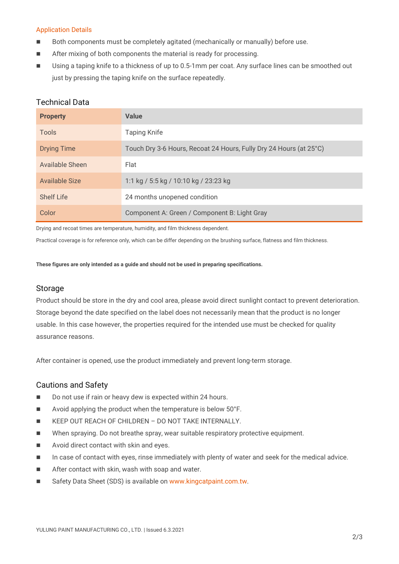#### Application Details

- Both components must be completely agitated (mechanically or manually) before use.
- After mixing of both components the material is ready for processing.
- Using a taping knife to a thickness of up to 0.5-1mm per coat. Any surface lines can be smoothed out just by pressing the taping knife on the surface repeatedly.

### Technical Data

| <b>Property</b>    | <b>Value</b>                                                       |
|--------------------|--------------------------------------------------------------------|
| Tools              | <b>Taping Knife</b>                                                |
| <b>Drying Time</b> | Touch Dry 3-6 Hours, Recoat 24 Hours, Fully Dry 24 Hours (at 25°C) |
| Available Sheen    | Flat                                                               |
| Available Size     | 1:1 kg / 5:5 kg / 10:10 kg / 23:23 kg                              |
| Shelf Life         | 24 months unopened condition                                       |
| Color              | Component A: Green / Component B: Light Gray                       |

Drying and recoat times are temperature, humidity, and film thickness dependent.

Practical coverage is for reference only, which can be differ depending on the brushing surface, flatness and film thickness.

**These figures are only intended as a guide and should not be used in preparing specifications.**

#### Storage

Product should be store in the dry and cool area, please avoid direct sunlight contact to prevent deterioration. Storage beyond the date specified on the label does not necessarily mean that the product is no longer usable. In this case however, the properties required for the intended use must be checked for quality assurance reasons.

After container is opened, use the product immediately and prevent long-term storage.

#### Cautions and Safety

- Do not use if rain or heavy dew is expected within 24 hours.
- Avoid applying the product when the temperature is below 50°F.
- **KEEP OUT REACH OF CHILDREN DO NOT TAKE INTERNALLY.**
- When spraying. Do not breathe spray, wear suitable respiratory protective equipment.
- Avoid direct contact with skin and eyes.
- In case of contact with eyes, rinse immediately with plenty of water and seek for the medical advice.
- **EXECUTE:** After contact with skin, wash with soap and water.
- Safety Data Sheet (SDS) is available on [www.kingcatpaint.com.tw.](http://www.kingcatpaint.com.tw/)